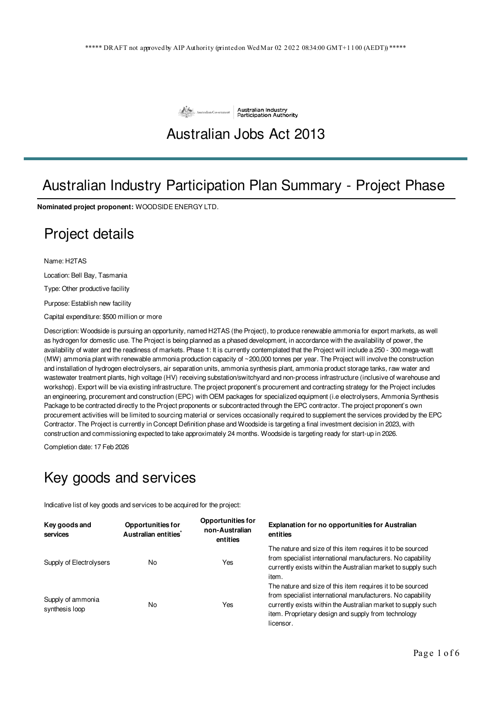

#### Australian Jobs Act 2013

# Australian Industry Participation Plan Summary - Project Phase

**Nominated project proponent:** WOODSIDE ENERGY LTD.

#### Project details

Name: H2TAS

Location: Bell Bay, Tasmania

Type: Other productive facility

Purpose: Establish new facility

Capital expenditure: \$500 million or more

Description: Woodside is pursuing an opportunity, named H2TAS (the Project), to produce renewable ammonia for export markets, as well as hydrogen for domestic use. The Project is being planned as a phased development, in accordance with the availability of power, the availability of water and the readiness of markets. Phase 1: It is currently contemplated that the Project will include a 250 - 300 mega-watt (MW) ammonia plant with renewable ammonia production capacity of ~200,000 tonnes per year. The Project will involve the construction and installation of hydrogen electrolysers, air separation units, ammonia synthesis plant, ammonia product storage tanks, raw water and wastewater treatment plants, high voltage (HV) receiving substation/switchyard and non-process infrastructure (inclusive of warehouse and workshop). Export will be via existing infrastructure. The project proponent's procurement and contracting strategy for the Project includes an engineering, procurement and construction (EPC) with OEM packages for specialized equipment (i.e electrolysers, Ammonia Synthesis Package to be contracted directly to the Project proponents or subcontracted through the EPC contractor. The project proponent's own procurement activities will be limited to sourcing material or services occasionally required to supplement the services provided by the EPC Contractor. The Project is currently in Concept Definition phase and Woodside is targeting a final investment decision in 2023, with construction and commissioning expected to take approximately 24 months. Woodside is targeting ready for start-up in 2026.

Completion date: 17 Feb 2026

#### Key goods and services

Indicative list of key goods and services to be acquired for the project:

| Key goods and<br>services           | <b>Opportunities for</b><br>Australian entities | <b>Opportunities for</b><br>non-Australian<br>entities | <b>Explanation for no opportunities for Australian</b><br>entities                                                                                                                                                                                           |
|-------------------------------------|-------------------------------------------------|--------------------------------------------------------|--------------------------------------------------------------------------------------------------------------------------------------------------------------------------------------------------------------------------------------------------------------|
| Supply of Electrolysers             | No                                              | Yes                                                    | The nature and size of this item requires it to be sourced<br>from specialist international manufacturers. No capability<br>currently exists within the Australian market to supply such<br>item.                                                            |
| Supply of ammonia<br>synthesis loop | No                                              | Yes                                                    | The nature and size of this item requires it to be sourced<br>from specialist international manufacturers. No capability<br>currently exists within the Australian market to supply such<br>item. Proprietary design and supply from technology<br>licensor. |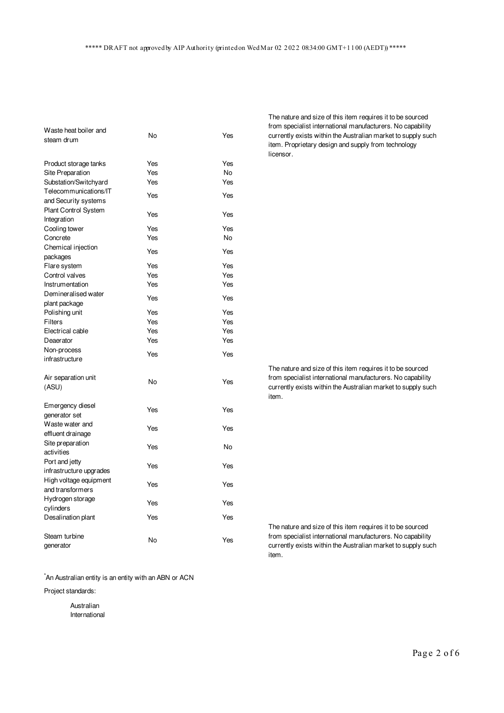| Waste heat boiler and       |     |     |  |
|-----------------------------|-----|-----|--|
| steam drum                  | No  | Yes |  |
|                             |     |     |  |
| Product storage tanks       | Yes | Yes |  |
| Site Preparation            | Yes | No  |  |
| Substation/Switchyard       | Yes | Yes |  |
| Telecommunications/IT       | Yes | Yes |  |
| and Security systems        |     |     |  |
| <b>Plant Control System</b> | Yes | Yes |  |
| Integration                 |     |     |  |
| Cooling tower               | Yes | Yes |  |
| Concrete                    | Yes | No  |  |
| Chemical injection          | Yes | Yes |  |
| packages                    |     |     |  |
| Flare system                | Yes | Yes |  |
| Control valves              | Yes | Yes |  |
| Instrumentation             | Yes | Yes |  |
| Demineralised water         | Yes | Yes |  |
| plant package               |     |     |  |
| Polishing unit              | Yes | Yes |  |
| Filters                     | Yes | Yes |  |
| Electrical cable            | Yes | Yes |  |
| Deaerator                   | Yes | Yes |  |
| Non-process                 | Yes | Yes |  |
| infrastructure              |     |     |  |
|                             |     |     |  |
| Air separation unit         | No  | Yes |  |
| (ASU)                       |     |     |  |
| Emergency diesel            |     |     |  |
| generator set               | Yes | Yes |  |
| Waste water and             |     |     |  |
| effluent drainage           | Yes | Yes |  |
| Site preparation            |     |     |  |
| activities                  | Yes | No  |  |
| Port and jetty              |     |     |  |
| infrastructure upgrades     | Yes | Yes |  |
| High voltage equipment      |     |     |  |
| and transformers            | Yes | Yes |  |
| Hydrogen storage            |     |     |  |
| cylinders                   | Yes | Yes |  |
| Desalination plant          | Yes | Yes |  |
|                             |     |     |  |
| Steam turbine               | No  | Yes |  |
| generator                   |     |     |  |

\*An Australian entity is an entity with an ABN or ACN

Project standards:

Australian International The nature and size of this item requires it to be sourced from specialist international manufacturers. No capability currently exists within the Australian market to supply such item. Proprietary design and supply from technology licensor.

The nature and size of this item requires it to be sourced from specialist international manufacturers. No capability currently exists within the Australian market to supply such item.

The nature and size of this item requires it to be sourced from specialist international manufacturers. No capability currently exists within the Australian market to supply such item.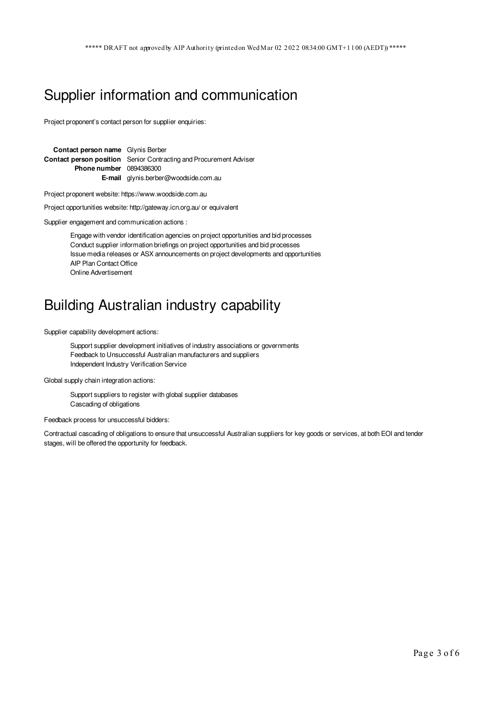### Supplier information and communication

Project proponent's contact person for supplier enquiries:

**Contact person name** Glynis Berber **Contact person position** Senior Contracting and Procurement Adviser **Phone number** 0894386300 **E-mail** glynis.berber@woodside.com.au

Project proponent website: https://www.woodside.com.au

Project opportunities website: http://gateway.icn.org.au/ or equivalent

Supplier engagement and communication actions :

Engage with vendor identification agencies on project opportunities and bid processes Conduct supplier information briefings on project opportunities and bid processes Issue media releases or ASX announcements on project developments and opportunities AIP Plan Contact Office Online Advertisement

#### Building Australian industry capability

Supplier capability development actions:

Support supplier development initiatives of industry associations or governments Feedback to Unsuccessful Australian manufacturers and suppliers Independent Industry Verification Service

Global supply chain integration actions:

Support suppliers to register with global supplier databases Cascading of obligations

Feedback process for unsuccessful bidders:

Contractual cascading of obligations to ensure that unsuccessful Australian suppliers for key goods or services, at both EOI and tender stages, will be offered the opportunity for feedback.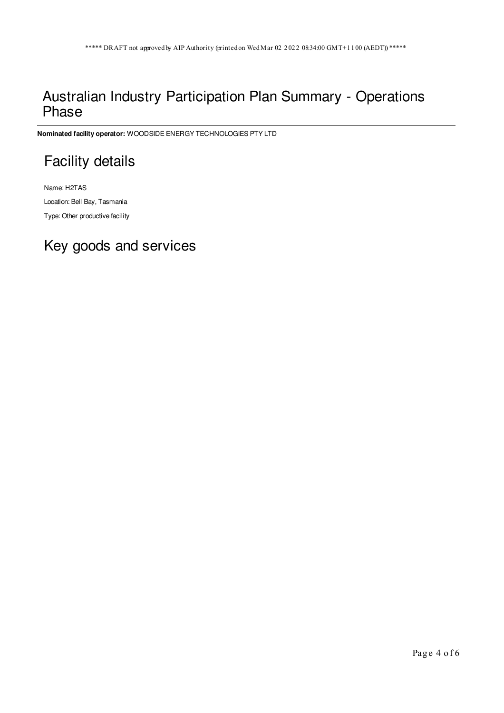### Australian Industry Participation Plan Summary - Operations Phase

**Nominated facility operator:** WOODSIDE ENERGY TECHNOLOGIES PTY LTD

# Facility details

Name: H2TAS Location: Bell Bay, Tasmania Type: Other productive facility

# Key goods and services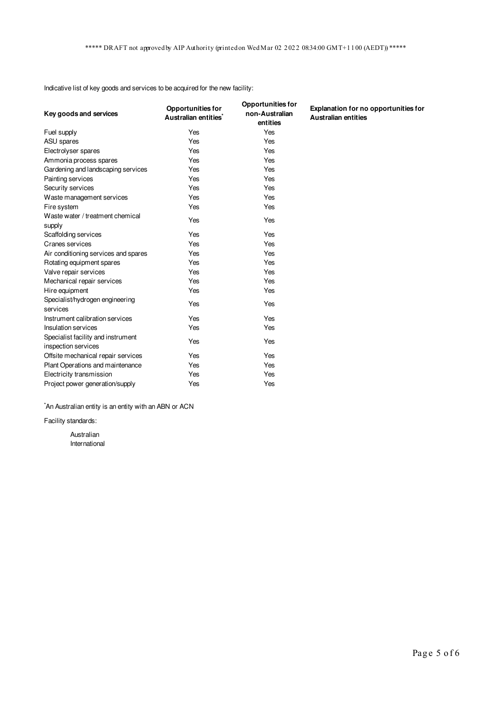Indicative list of key goods and services to be acquired for the new facility:

| Key goods and services                                    | <b>Opportunities for</b><br>Australian entities <sup>*</sup> | <b>Opportunities for</b><br>non-Australian<br>entities | Explanation for no opportunities for<br><b>Australian entities</b> |
|-----------------------------------------------------------|--------------------------------------------------------------|--------------------------------------------------------|--------------------------------------------------------------------|
| Fuel supply                                               | Yes                                                          | Yes                                                    |                                                                    |
| ASU spares                                                | Yes                                                          | Yes                                                    |                                                                    |
| Electrolyser spares                                       | Yes                                                          | Yes                                                    |                                                                    |
| Ammonia process spares                                    | Yes                                                          | Yes                                                    |                                                                    |
| Gardening and landscaping services                        | Yes                                                          | Yes                                                    |                                                                    |
| Painting services                                         | Yes                                                          | Yes                                                    |                                                                    |
| Security services                                         | Yes                                                          | Yes                                                    |                                                                    |
| Waste management services                                 | Yes                                                          | Yes                                                    |                                                                    |
| Fire system                                               | Yes                                                          | Yes                                                    |                                                                    |
| Waste water / treatment chemical<br>supply                | Yes                                                          | Yes                                                    |                                                                    |
| Scaffolding services                                      | Yes                                                          | Yes                                                    |                                                                    |
| Cranes services                                           | Yes                                                          | Yes                                                    |                                                                    |
| Air conditioning services and spares                      | Yes                                                          | Yes                                                    |                                                                    |
| Rotating equipment spares                                 | Yes                                                          | Yes                                                    |                                                                    |
| Valve repair services                                     | Yes                                                          | Yes                                                    |                                                                    |
| Mechanical repair services                                | Yes                                                          | Yes                                                    |                                                                    |
| Hire equipment                                            | Yes                                                          | Yes                                                    |                                                                    |
| Specialist/hydrogen engineering<br>services               | Yes                                                          | Yes                                                    |                                                                    |
| Instrument calibration services                           | Yes                                                          | Yes                                                    |                                                                    |
| Insulation services                                       | Yes                                                          | Yes                                                    |                                                                    |
| Specialist facility and instrument<br>inspection services | Yes                                                          | Yes                                                    |                                                                    |
| Offsite mechanical repair services                        | Yes                                                          | Yes                                                    |                                                                    |
| Plant Operations and maintenance                          | Yes                                                          | Yes                                                    |                                                                    |
| Electricity transmission                                  | Yes                                                          | Yes                                                    |                                                                    |
| Project power generation/supply                           | Yes                                                          | Yes                                                    |                                                                    |

\*An Australian entity is an entity with an ABN or ACN

Facility standards:

Australian International